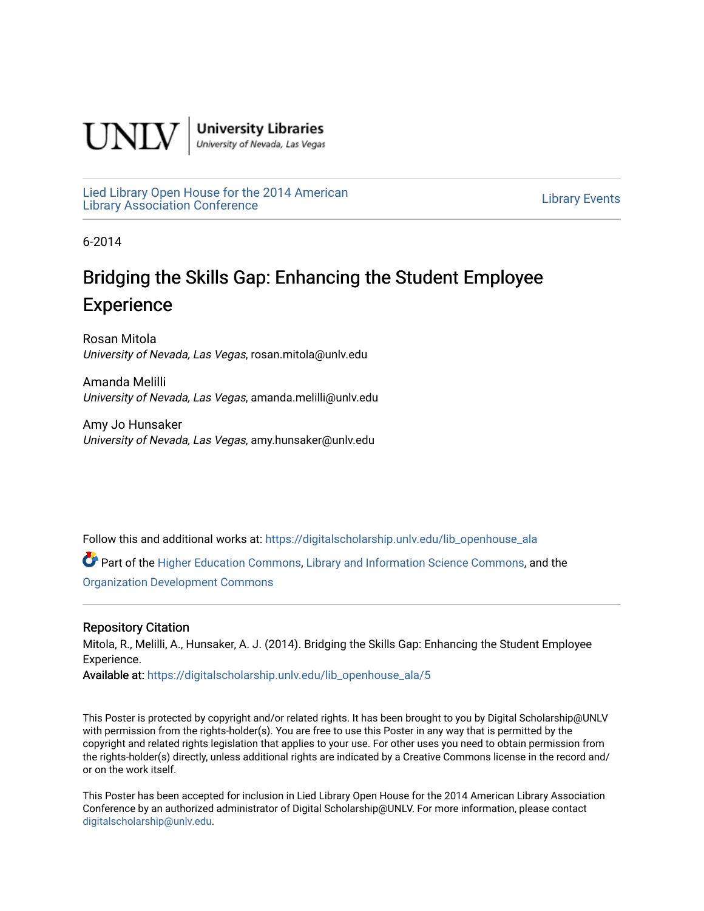

**University Libraries**<br>University of Nevada, Las Vegas

[Lied Library Open House for the 2014 American](https://digitalscholarship.unlv.edu/lib_openhouse_ala) Library Open House for the 2014 American<br>Library Association Conference

6-2014

### Bridging the Skills Gap: Enhancing the Student Employee **Experience**

Rosan Mitola University of Nevada, Las Vegas, rosan.mitola@unlv.edu

Amanda Melilli University of Nevada, Las Vegas, amanda.melilli@unlv.edu

Amy Jo Hunsaker University of Nevada, Las Vegas, amy.hunsaker@unlv.edu

Follow this and additional works at: [https://digitalscholarship.unlv.edu/lib\\_openhouse\\_ala](https://digitalscholarship.unlv.edu/lib_openhouse_ala?utm_source=digitalscholarship.unlv.edu%2Flib_openhouse_ala%2F5&utm_medium=PDF&utm_campaign=PDFCoverPages) 

Part of the [Higher Education Commons,](http://network.bepress.com/hgg/discipline/1245?utm_source=digitalscholarship.unlv.edu%2Flib_openhouse_ala%2F5&utm_medium=PDF&utm_campaign=PDFCoverPages) [Library and Information Science Commons](http://network.bepress.com/hgg/discipline/1018?utm_source=digitalscholarship.unlv.edu%2Flib_openhouse_ala%2F5&utm_medium=PDF&utm_campaign=PDFCoverPages), and the [Organization Development Commons](http://network.bepress.com/hgg/discipline/1242?utm_source=digitalscholarship.unlv.edu%2Flib_openhouse_ala%2F5&utm_medium=PDF&utm_campaign=PDFCoverPages) 

### Repository Citation

Mitola, R., Melilli, A., Hunsaker, A. J. (2014). Bridging the Skills Gap: Enhancing the Student Employee Experience.

Available at: [https://digitalscholarship.unlv.edu/lib\\_openhouse\\_ala/5](https://digitalscholarship.unlv.edu/lib_openhouse_ala/5) 

This Poster is protected by copyright and/or related rights. It has been brought to you by Digital Scholarship@UNLV with permission from the rights-holder(s). You are free to use this Poster in any way that is permitted by the copyright and related rights legislation that applies to your use. For other uses you need to obtain permission from the rights-holder(s) directly, unless additional rights are indicated by a Creative Commons license in the record and/ or on the work itself.

This Poster has been accepted for inclusion in Lied Library Open House for the 2014 American Library Association Conference by an authorized administrator of Digital Scholarship@UNLV. For more information, please contact [digitalscholarship@unlv.edu](mailto:digitalscholarship@unlv.edu).